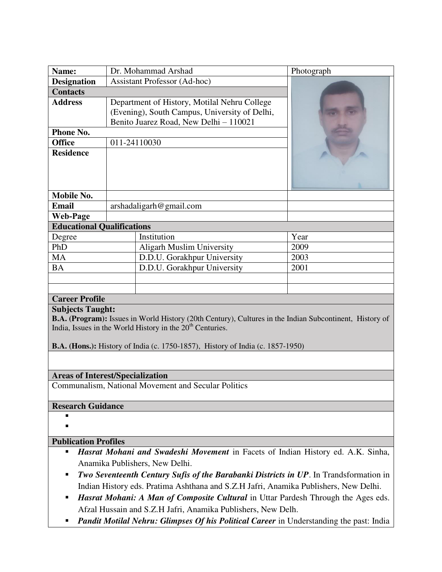| Name:                                                                                                                                                                                                                                                                                                                                                                                                  | Dr. Mohammad Arshad                                                                                                                     |                             | Photograph |
|--------------------------------------------------------------------------------------------------------------------------------------------------------------------------------------------------------------------------------------------------------------------------------------------------------------------------------------------------------------------------------------------------------|-----------------------------------------------------------------------------------------------------------------------------------------|-----------------------------|------------|
| <b>Designation</b>                                                                                                                                                                                                                                                                                                                                                                                     | <b>Assistant Professor (Ad-hoc)</b>                                                                                                     |                             |            |
| <b>Contacts</b>                                                                                                                                                                                                                                                                                                                                                                                        |                                                                                                                                         |                             |            |
| <b>Address</b>                                                                                                                                                                                                                                                                                                                                                                                         | Department of History, Motilal Nehru College<br>(Evening), South Campus, University of Delhi,<br>Benito Juarez Road, New Delhi - 110021 |                             |            |
| Phone No.                                                                                                                                                                                                                                                                                                                                                                                              |                                                                                                                                         |                             |            |
| <b>Office</b>                                                                                                                                                                                                                                                                                                                                                                                          | 011-24110030                                                                                                                            |                             |            |
| <b>Residence</b>                                                                                                                                                                                                                                                                                                                                                                                       |                                                                                                                                         |                             |            |
| <b>Mobile No.</b>                                                                                                                                                                                                                                                                                                                                                                                      |                                                                                                                                         |                             |            |
| <b>Email</b>                                                                                                                                                                                                                                                                                                                                                                                           |                                                                                                                                         | arshadaligarh@gmail.com     |            |
| <b>Web-Page</b>                                                                                                                                                                                                                                                                                                                                                                                        |                                                                                                                                         |                             |            |
| <b>Educational Qualifications</b>                                                                                                                                                                                                                                                                                                                                                                      |                                                                                                                                         |                             |            |
| Degree                                                                                                                                                                                                                                                                                                                                                                                                 |                                                                                                                                         | Institution                 | Year       |
| PhD                                                                                                                                                                                                                                                                                                                                                                                                    |                                                                                                                                         | Aligarh Muslim University   | 2009       |
| <b>MA</b>                                                                                                                                                                                                                                                                                                                                                                                              |                                                                                                                                         | D.D.U. Gorakhpur University | 2003       |
| <b>BA</b>                                                                                                                                                                                                                                                                                                                                                                                              |                                                                                                                                         | D.D.U. Gorakhpur University | 2001       |
|                                                                                                                                                                                                                                                                                                                                                                                                        |                                                                                                                                         |                             |            |
|                                                                                                                                                                                                                                                                                                                                                                                                        |                                                                                                                                         |                             |            |
| <b>Career Profile</b>                                                                                                                                                                                                                                                                                                                                                                                  |                                                                                                                                         |                             |            |
| <b>Subjects Taught:</b><br>B.A. (Program): Issues in World History (20th Century), Cultures in the Indian Subcontinent, History of<br>India, Issues in the World History in the 20 <sup>th</sup> Centuries.<br><b>B.A. (Hons.):</b> History of India (c. 1750-1857), History of India (c. 1857-1950)                                                                                                   |                                                                                                                                         |                             |            |
|                                                                                                                                                                                                                                                                                                                                                                                                        |                                                                                                                                         |                             |            |
| <b>Areas of Interest/Specialization</b>                                                                                                                                                                                                                                                                                                                                                                |                                                                                                                                         |                             |            |
| Communalism, National Movement and Secular Politics                                                                                                                                                                                                                                                                                                                                                    |                                                                                                                                         |                             |            |
| <b>Research Guidance</b>                                                                                                                                                                                                                                                                                                                                                                               |                                                                                                                                         |                             |            |
| п                                                                                                                                                                                                                                                                                                                                                                                                      |                                                                                                                                         |                             |            |
| <b>Publication Profiles</b>                                                                                                                                                                                                                                                                                                                                                                            |                                                                                                                                         |                             |            |
| Hasrat Mohani and Swadeshi Movement in Facets of Indian History ed. A.K. Sinha,<br>٠<br>Anamika Publishers, New Delhi.<br>Two Seventeenth Century Sufis of the Barabanki Districts in UP. In Trandsformation in<br>п<br>Indian History eds. Pratima Ashthana and S.Z.H Jafri, Anamika Publishers, New Delhi.<br>Hasrat Mohani: A Man of Composite Cultural in Uttar Pardesh Through the Ages eds.<br>п |                                                                                                                                         |                             |            |
| Afzal Hussain and S.Z.H Jafri, Anamika Publishers, New Delh.                                                                                                                                                                                                                                                                                                                                           |                                                                                                                                         |                             |            |

**Pandit Motilal Nehru: Glimpses Of his Political Career** in Understanding the past: India

 $\mathbf{I}$